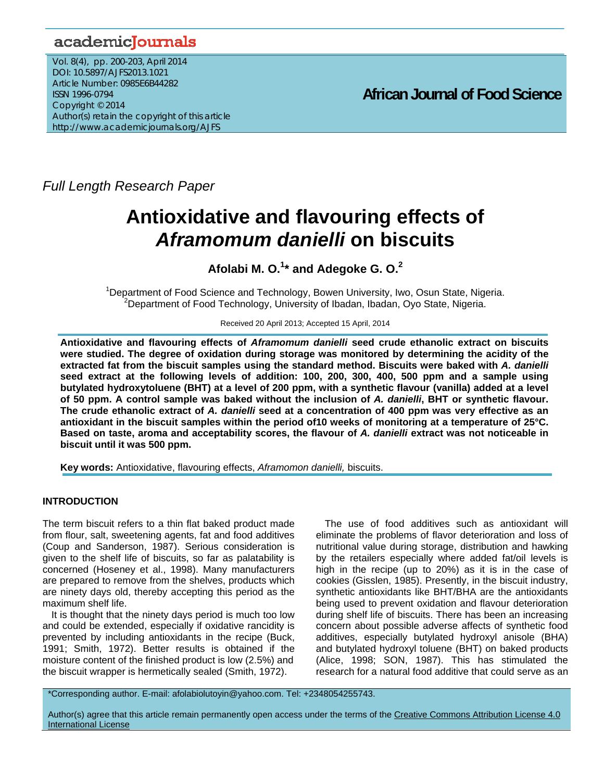## academicJournals

Vol. 8(4), pp. 200-203, April 2014 DOI: 10.5897/AJFS2013.1021 Article Number: 0985E6B44282 ISSN 1996-0794 Copyright © 2014 Author(s) retain the copyright of this article http://www.academicjournals.org/AJFS

**African Journal of Food Science** 

*Full Length Research Paper*

# **Antioxidative and flavouring effects of**  *Aframomum danielli* **on biscuits**

## **Afolabi M. O.<sup>1</sup> \* and Adegoke G. O.2**

<sup>1</sup>Department of Food Science and Technology, Bowen University, Iwo, Osun State, Nigeria.<br><sup>2</sup>Department of Food Technology, University of Ibodan, Ibodan, Ove State, Nigeria. <sup>2</sup>Department of Food Technology, University of Ibadan, Ibadan, Oyo State, Nigeria.

Received 20 April 2013; Accepted 15 April, 2014

**Antioxidative and flavouring effects of** *Aframomum danielli* **seed crude ethanolic extract on biscuits were studied. The degree of oxidation during storage was monitored by determining the acidity of the extracted fat from the biscuit samples using the standard method. Biscuits were baked with** *A. danielli*  **seed extract at the following levels of addition: 100, 200, 300, 400, 500 ppm and a sample using butylated hydroxytoluene (BHT) at a level of 200 ppm, with a synthetic flavour (vanilla) added at a level of 50 ppm. A control sample was baked without the inclusion of** *A. danielli***, BHT or synthetic flavour. The crude ethanolic extract of** *A. danielli* **seed at a concentration of 400 ppm was very effective as an antioxidant in the biscuit samples within the period of10 weeks of monitoring at a temperature of 25°C. Based on taste, aroma and acceptability scores, the flavour of** *A. danielli* **extract was not noticeable in biscuit until it was 500 ppm.** 

**Key words:** Antioxidative, flavouring effects, *Aframomon danielli,* biscuits.

## **INTRODUCTION**

The term biscuit refers to a thin flat baked product made from flour, salt, sweetening agents, fat and food additives (Coup and Sanderson, 1987). Serious consideration is given to the shelf life of biscuits, so far as palatability is concerned (Hoseney et al., 1998). Many manufacturers are prepared to remove from the shelves, products which are ninety days old, thereby accepting this period as the maximum shelf life.

It is thought that the ninety days period is much too low and could be extended, especially if oxidative rancidity is prevented by including antioxidants in the recipe (Buck, 1991; Smith, 1972). Better results is obtained if the moisture content of the finished product is low (2.5%) and the biscuit wrapper is hermetically sealed (Smith, 1972).

The use of food additives such as antioxidant will eliminate the problems of flavor deterioration and loss of nutritional value during storage, distribution and hawking by the retailers especially where added fat/oil levels is high in the recipe (up to 20%) as it is in the case of cookies (Gisslen, 1985). Presently, in the biscuit industry, synthetic antioxidants like BHT/BHA are the antioxidants being used to prevent oxidation and flavour deterioration during shelf life of biscuits. There has been an increasing concern about possible adverse affects of synthetic food additives, especially butylated hydroxyl anisole (BHA) and butylated hydroxyl toluene (BHT) on baked products (Alice, 1998; SON, 1987). This has stimulated the research for a natural food additive that could serve as an

\*Corresponding author. E-mail: afolabiolutoyin@yahoo.com. Tel: +2348054255743.

Author(s) agree that this article remain permanently open access under the terms of the Creative Commons Attribution License 4.0 International License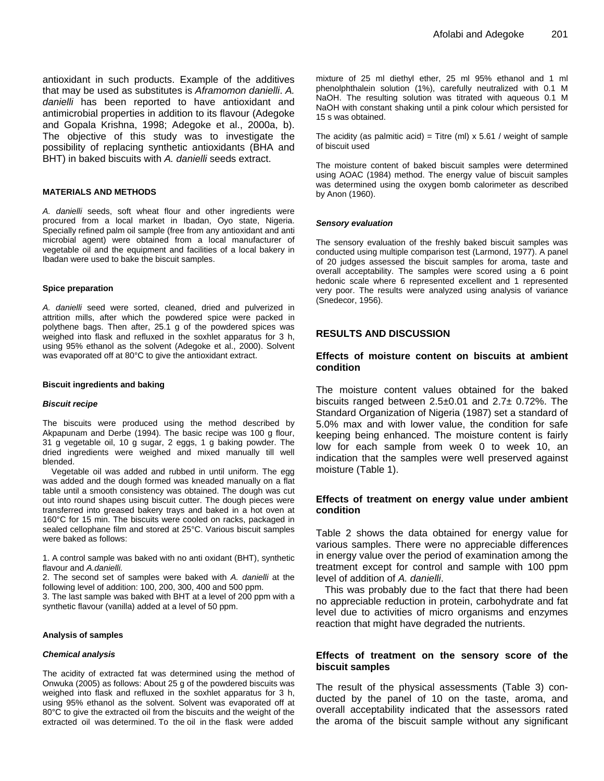antioxidant in such products. Example of the additives that may be used as substitutes is *Aframomon danielli*. *A. danielli* has been reported to have antioxidant and antimicrobial properties in addition to its flavour (Adegoke and Gopala Krishna, 1998; Adegoke et al., 2000a, b). The objective of this study was to investigate the possibility of replacing synthetic antioxidants (BHA and BHT) in baked biscuits with *A. danielli* seeds extract.

#### **MATERIALS AND METHODS**

*A. danielli* seeds, soft wheat flour and other ingredients were procured from a local market in Ibadan, Oyo state, Nigeria. Specially refined palm oil sample (free from any antioxidant and anti microbial agent) were obtained from a local manufacturer of vegetable oil and the equipment and facilities of a local bakery in Ibadan were used to bake the biscuit samples.

#### **Spice preparation**

*A. danielli* seed were sorted, cleaned, dried and pulverized in attrition mills, after which the powdered spice were packed in polythene bags. Then after, 25.1 g of the powdered spices was weighed into flask and refluxed in the soxhlet apparatus for 3 h, using 95% ethanol as the solvent (Adegoke et al., 2000). Solvent was evaporated off at 80°C to give the antioxidant extract.

#### **Biscuit ingredients and baking**

#### *Biscuit recipe*

The biscuits were produced using the method described by Akpapunam and Derbe (1994). The basic recipe was 100 g flour, 31 g vegetable oil, 10 g sugar, 2 eggs, 1 g baking powder. The dried ingredients were weighed and mixed manually till well blended.

Vegetable oil was added and rubbed in until uniform. The egg was added and the dough formed was kneaded manually on a flat table until a smooth consistency was obtained. The dough was cut out into round shapes using biscuit cutter. The dough pieces were transferred into greased bakery trays and baked in a hot oven at 160°C for 15 min. The biscuits were cooled on racks, packaged in sealed cellophane film and stored at 25°C. Various biscuit samples were baked as follows:

1. A control sample was baked with no anti oxidant (BHT), synthetic flavour and *A.danielli.*

2. The second set of samples were baked with *A. danielli* at the following level of addition: 100, 200, 300, 400 and 500 ppm.

3. The last sample was baked with BHT at a level of 200 ppm with a synthetic flavour (vanilla) added at a level of 50 ppm.

#### **Analysis of samples**

#### *Chemical analysis*

The acidity of extracted fat was determined using the method of Onwuka (2005) as follows: About 25 g of the powdered biscuits was weighed into flask and refluxed in the soxhlet apparatus for 3 h, using 95% ethanol as the solvent. Solvent was evaporated off at 80°C to give the extracted oil from the biscuits and the weight of the extracted oil was determined. To the oil in the flask were added

mixture of 25 ml diethyl ether, 25 ml 95% ethanol and 1 ml phenolphthalein solution (1%), carefully neutralized with 0.1 M NaOH. The resulting solution was titrated with aqueous 0.1 M NaOH with constant shaking until a pink colour which persisted for 15 s was obtained.

The acidity (as palmitic acid) = Titre (ml)  $\times$  5.61 / weight of sample of biscuit used

The moisture content of baked biscuit samples were determined using AOAC (1984) method. The energy value of biscuit samples was determined using the oxygen bomb calorimeter as described by Anon (1960).

#### *Sensory evaluation*

The sensory evaluation of the freshly baked biscuit samples was conducted using multiple comparison test (Larmond, 1977). A panel of 20 judges assessed the biscuit samples for aroma, taste and overall acceptability. The samples were scored using a 6 point hedonic scale where 6 represented excellent and 1 represented very poor. The results were analyzed using analysis of variance (Snedecor, 1956).

## **RESULTS AND DISCUSSION**

#### **Effects of moisture content on biscuits at ambient condition**

The moisture content values obtained for the baked biscuits ranged between 2.5±0.01 and 2.7± 0.72%. The Standard Organization of Nigeria (1987) set a standard of 5.0% max and with lower value, the condition for safe keeping being enhanced. The moisture content is fairly low for each sample from week 0 to week 10, an indication that the samples were well preserved against moisture (Table 1).

## **Effects of treatment on energy value under ambient condition**

Table 2 shows the data obtained for energy value for various samples. There were no appreciable differences in energy value over the period of examination among the treatment except for control and sample with 100 ppm level of addition of *A. danielli*.

This was probably due to the fact that there had been no appreciable reduction in protein, carbohydrate and fat level due to activities of micro organisms and enzymes reaction that might have degraded the nutrients.

#### **Effects of treatment on the sensory score of the biscuit samples**

The result of the physical assessments (Table 3) conducted by the panel of 10 on the taste, aroma, and overall acceptability indicated that the assessors rated the aroma of the biscuit sample without any significant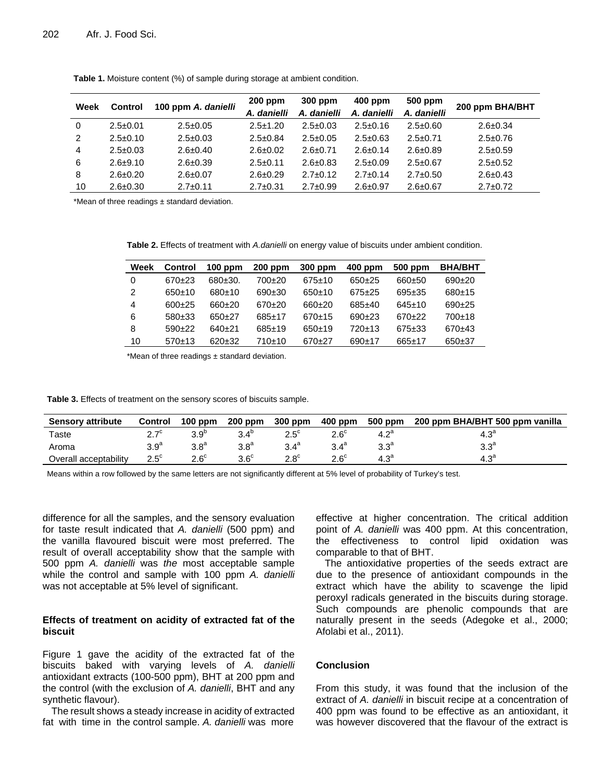| Week | <b>Control</b> | 100 ppm A. danielli | $200$ ppm<br>A. danielli | 300 ppm<br>A. danielli | $400$ ppm<br>A. danielli | 500 ppm<br>A. danielli | 200 ppm BHA/BHT |
|------|----------------|---------------------|--------------------------|------------------------|--------------------------|------------------------|-----------------|
| 0    | $2.5 \pm 0.01$ | $2.5 \pm 0.05$      | $2.5 \pm 1.20$           | $2.5 \pm 0.03$         | $2.5 \pm 0.16$           | $2.5 \pm 0.60$         | $2.6 \pm 0.34$  |
| 2    | $2.5 \pm 0.10$ | $2.5 \pm 0.03$      | $2.5 \pm 0.84$           | $2.5 \pm 0.05$         | $2.5 \pm 0.63$           | $2.5 \pm 0.71$         | $2.5 \pm 0.76$  |
| 4    | $2.5 \pm 0.03$ | $2.6 \pm 0.40$      | $2.6 \pm 0.02$           | $2.6 \pm 0.71$         | $2.6 \pm 0.14$           | $2.6 \pm 0.89$         | $2.5 \pm 0.59$  |
| 6    | $2.6 + 9.10$   | $2.6 \pm 0.39$      | $2.5 \pm 0.11$           | $2.6 \pm 0.83$         | $2.5 \pm 0.09$           | $2.5 \pm 0.67$         | $2.5 \pm 0.52$  |
| 8    | $2.6 \pm 0.20$ | $2.6 \pm 0.07$      | $2.6 \pm 0.29$           | $2.7 \pm 0.12$         | $2.7 \pm 0.14$           | $2.7 \pm 0.50$         | $2.6 \pm 0.43$  |
| 10   | $2.6 \pm 0.30$ | $2.7 \pm 0.11$      | $2.7 \pm 0.31$           | $2.7 \pm 0.99$         | $2.6 \pm 0.97$           | $2.6 \pm 0.67$         | $2.7 \pm 0.72$  |

**Table 1.** Moisture content (%) of sample during storage at ambient condition.

\*Mean of three readings ± standard deviation.

**Table 2.** Effects of treatment with *A.danielli* on energy value of biscuits under ambient condition.

| Week | <b>Control</b> | $100$ ppm | $200$ ppm | 300 ppm      | 400 ppm  | 500 ppm      | <b>BHA/BHT</b> |
|------|----------------|-----------|-----------|--------------|----------|--------------|----------------|
| 0    | 670+23         | 680±30.   | 700±20    | $675 \pm 10$ | $650+25$ | 660±50       | $690+20$       |
| 2    | 650±10         | $680+10$  | $690+30$  | $650+10$     | $675+25$ | $695+35$     | $680+15$       |
| 4    | $600+25$       | 660±20    | $670+20$  | $660+20$     | $685+40$ | $645+10$     | $690+25$       |
| 6    | $580+33$       | 650+27    | $685+17$  | 670±15       | $690+23$ | $670+22$     | $700+18$       |
| 8    | $590+22$       | 640+21    | $685+19$  | $650+19$     | $720+13$ | $675 + 33$   | 670±43         |
| 10   | 570±13         | $620+32$  | 710±10    | $670+27$     | $690+17$ | $665 \pm 17$ | $650+37$       |

\*Mean of three readings ± standard deviation.

**Table 3.** Effects of treatment on the sensory scores of biscuits sample.

| <b>Sensory attribute</b> | <b>Control</b> | $100$ ppm        | $200$ ppm        | 300 ppm          | 400 ppm       | 500 ppm          | 200 ppm BHA/BHT 500 ppm vanilla |
|--------------------------|----------------|------------------|------------------|------------------|---------------|------------------|---------------------------------|
| Taste                    | 27c<br><u></u> | 3.9 <sup>b</sup> | $3.4^{\circ}$    | $2.5^\circ$      | $2.6^\circ$   | 4.2 <sup>a</sup> | $4.3^{\circ}$                   |
| Aroma                    | $3.9^{\rm a}$  | 3.8 <sup>a</sup> | 3.8 <sup>a</sup> | 3.4 <sup>a</sup> | $3.4^{\circ}$ | 3.3 <sup>a</sup> | 3.3 <sup>a</sup>                |
| Overall acceptability    | $2.5^{\circ}$  | $2.6^{\circ}$    | $3.6^\circ$      | $2.8^{\circ}$    | $2.6^{\circ}$ | $4.3^{\circ}$    | 4.3 <sup>a</sup>                |

Means within a row followed by the same letters are not significantly different at 5% level of probability of Turkey's test.

difference for all the samples, and the sensory evaluation for taste result indicated that *A. danielli* (500 ppm) and the vanilla flavoured biscuit were most preferred. The result of overall acceptability show that the sample with 500 ppm *A. danielli* was *the* most acceptable sample while the control and sample with 100 ppm *A. danielli* was not acceptable at 5% level of significant.

## **Effects of treatment on acidity of extracted fat of the biscuit**

Figure 1 gave the acidity of the extracted fat of the biscuits baked with varying levels of *A. danielli* antioxidant extracts (100-500 ppm), BHT at 200 ppm and the control (with the exclusion of *A. danielli*, BHT and any synthetic flavour).

The result shows a steady increase in acidity of extracted fat with time in the control sample. *A. danielli* was more

effective at higher concentration. The critical addition point of *A. danielli* was 400 ppm. At this concentration, the effectiveness to control lipid oxidation was comparable to that of BHT.

The antioxidative properties of the seeds extract are due to the presence of antioxidant compounds in the extract which have the ability to scavenge the lipid peroxyl radicals generated in the biscuits during storage. Such compounds are phenolic compounds that are naturally present in the seeds (Adegoke et al., 2000; Afolabi et al., 2011).

## **Conclusion**

From this study, it was found that the inclusion of the extract of *A. danielli* in biscuit recipe at a concentration of 400 ppm was found to be effective as an antioxidant, it was however discovered that the flavour of the extract is